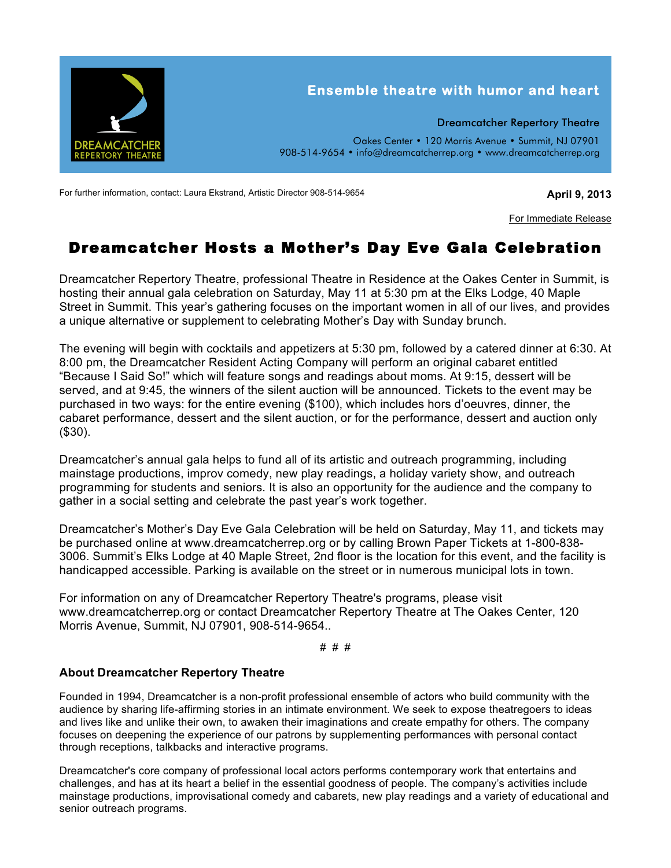

For further information, contact: Laura Ekstrand, Artistic Director 908-514-9654 **April 9, 2013**<br>**April 9, 2013** 

For Immediate Release

## Dreamcatcher Hosts a Mother's Day Eve Gala Celebration

Dreamcatcher Repertory Theatre, professional Theatre in Residence at the Oakes Center in Summit, is hosting their annual gala celebration on Saturday, May 11 at 5:30 pm at the Elks Lodge, 40 Maple Street in Summit. This year's gathering focuses on the important women in all of our lives, and provides a unique alternative or supplement to celebrating Mother's Day with Sunday brunch.

The evening will begin with cocktails and appetizers at 5:30 pm, followed by a catered dinner at 6:30. At 8:00 pm, the Dreamcatcher Resident Acting Company will perform an original cabaret entitled "Because I Said So!" which will feature songs and readings about moms. At 9:15, dessert will be served, and at 9:45, the winners of the silent auction will be announced. Tickets to the event may be purchased in two ways: for the entire evening (\$100), which includes hors d'oeuvres, dinner, the cabaret performance, dessert and the silent auction, or for the performance, dessert and auction only (\$30).

Dreamcatcher's annual gala helps to fund all of its artistic and outreach programming, including mainstage productions, improv comedy, new play readings, a holiday variety show, and outreach programming for students and seniors. It is also an opportunity for the audience and the company to gather in a social setting and celebrate the past year's work together.

Dreamcatcher's Mother's Day Eve Gala Celebration will be held on Saturday, May 11, and tickets may be purchased online at www.dreamcatcherrep.org or by calling Brown Paper Tickets at 1-800-838- 3006. Summit's Elks Lodge at 40 Maple Street, 2nd floor is the location for this event, and the facility is handicapped accessible. Parking is available on the street or in numerous municipal lots in town.

For information on any of Dreamcatcher Repertory Theatre's programs, please visit www.dreamcatcherrep.org or contact Dreamcatcher Repertory Theatre at The Oakes Center, 120 Morris Avenue, Summit, NJ 07901, 908-514-9654..

# # #

## **About Dreamcatcher Repertory Theatre**

Founded in 1994, Dreamcatcher is a non-profit professional ensemble of actors who build community with the audience by sharing life-affirming stories in an intimate environment. We seek to expose theatregoers to ideas and lives like and unlike their own, to awaken their imaginations and create empathy for others. The company focuses on deepening the experience of our patrons by supplementing performances with personal contact through receptions, talkbacks and interactive programs.

Dreamcatcher's core company of professional local actors performs contemporary work that entertains and challenges, and has at its heart a belief in the essential goodness of people. The company's activities include mainstage productions, improvisational comedy and cabarets, new play readings and a variety of educational and senior outreach programs.